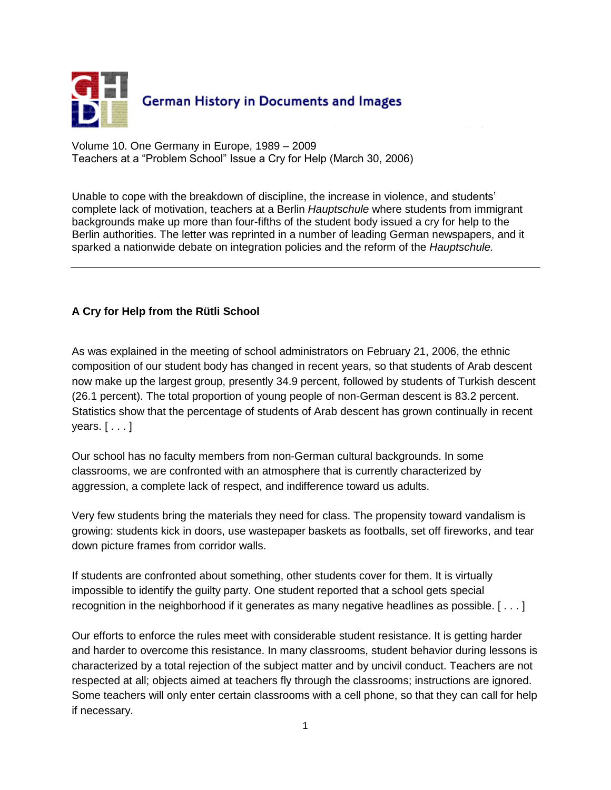

Volume 10. One Germany in Europe, 1989 – 2009 Teachers at a "Problem School" Issue a Cry for Help (March 30, 2006)

Unable to cope with the breakdown of discipline, the increase in violence, and students' complete lack of motivation, teachers at a Berlin *Hauptschule* where students from immigrant backgrounds make up more than four-fifths of the student body issued a cry for help to the Berlin authorities. The letter was reprinted in a number of leading German newspapers, and it sparked a nationwide debate on integration policies and the reform of the *Hauptschule.* 

## **A Cry for Help from the Rütli School**

As was explained in the meeting of school administrators on February 21, 2006, the ethnic composition of our student body has changed in recent years, so that students of Arab descent now make up the largest group, presently 34.9 percent, followed by students of Turkish descent (26.1 percent). The total proportion of young people of non-German descent is 83.2 percent. Statistics show that the percentage of students of Arab descent has grown continually in recent years. [ . . . ]

Our school has no faculty members from non-German cultural backgrounds. In some classrooms, we are confronted with an atmosphere that is currently characterized by aggression, a complete lack of respect, and indifference toward us adults.

Very few students bring the materials they need for class. The propensity toward vandalism is growing: students kick in doors, use wastepaper baskets as footballs, set off fireworks, and tear down picture frames from corridor walls.

If students are confronted about something, other students cover for them. It is virtually impossible to identify the guilty party. One student reported that a school gets special recognition in the neighborhood if it generates as many negative headlines as possible. [ . . . ]

Our efforts to enforce the rules meet with considerable student resistance. It is getting harder and harder to overcome this resistance. In many classrooms, student behavior during lessons is characterized by a total rejection of the subject matter and by uncivil conduct. Teachers are not respected at all; objects aimed at teachers fly through the classrooms; instructions are ignored. Some teachers will only enter certain classrooms with a cell phone, so that they can call for help if necessary.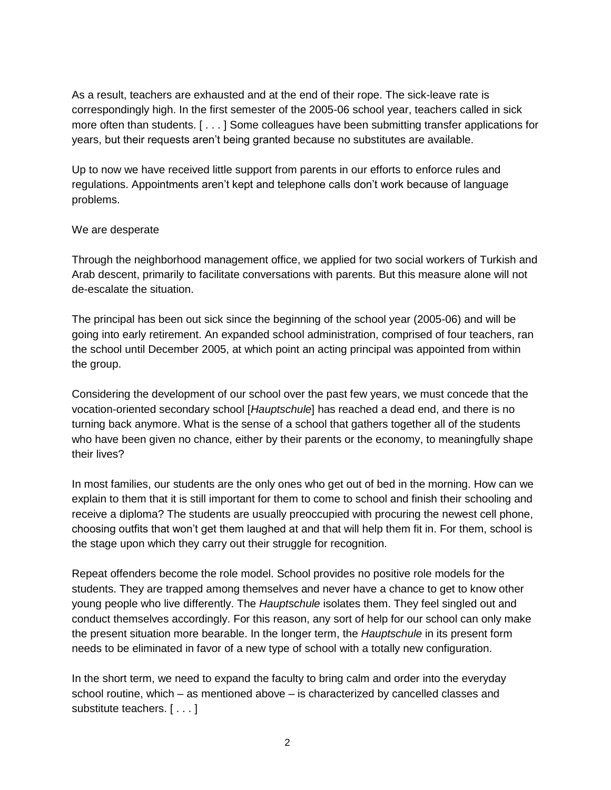As a result, teachers are exhausted and at the end of their rope. The sick-leave rate is correspondingly high. In the first semester of the 2005-06 school year, teachers called in sick more often than students. [ . . . ] Some colleagues have been submitting transfer applications for years, but their requests aren't being granted because no substitutes are available.

Up to now we have received little support from parents in our efforts to enforce rules and regulations. Appointments aren't kept and telephone calls don't work because of language problems.

## We are desperate

Through the neighborhood management office, we applied for two social workers of Turkish and Arab descent, primarily to facilitate conversations with parents. But this measure alone will not de-escalate the situation.

The principal has been out sick since the beginning of the school year (2005-06) and will be going into early retirement. An expanded school administration, comprised of four teachers, ran the school until December 2005, at which point an acting principal was appointed from within the group.

Considering the development of our school over the past few years, we must concede that the vocation-oriented secondary school [*Hauptschule*] has reached a dead end, and there is no turning back anymore. What is the sense of a school that gathers together all of the students who have been given no chance, either by their parents or the economy, to meaningfully shape their lives?

In most families, our students are the only ones who get out of bed in the morning. How can we explain to them that it is still important for them to come to school and finish their schooling and receive a diploma? The students are usually preoccupied with procuring the newest cell phone, choosing outfits that won't get them laughed at and that will help them fit in. For them, school is the stage upon which they carry out their struggle for recognition.

Repeat offenders become the role model. School provides no positive role models for the students. They are trapped among themselves and never have a chance to get to know other young people who live differently. The *Hauptschule* isolates them. They feel singled out and conduct themselves accordingly. For this reason, any sort of help for our school can only make the present situation more bearable. In the longer term, the *Hauptschule* in its present form needs to be eliminated in favor of a new type of school with a totally new configuration.

In the short term, we need to expand the faculty to bring calm and order into the everyday school routine, which – as mentioned above – is characterized by cancelled classes and substitute teachers. [...]